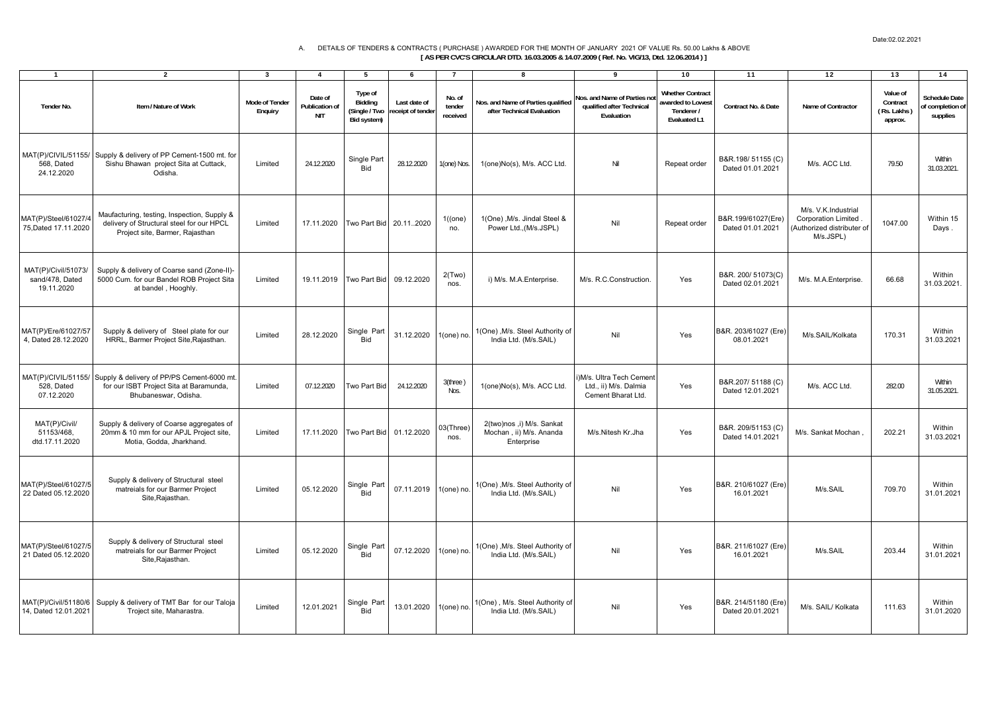## A. DETAILS OF TENDERS & CONTRACTS ( PURCHASE ) AWARDED FOR THE MONTH OF JANUARY 2021 OF VALUE Rs. 50.00 Lakhs & ABOVE  **[ AS PER CVC'S CIRCULAR DTD. 16.03.2005 & 14.07.2009 ( Ref. No. VIG/13, Dtd. 12.06.2014 ) ]**

| $\mathbf{1}$                                         | $\overline{\mathbf{2}}$                                                                                                           | 3                                | 4                                       | 5                                                  | 6                                | $\overline{7}$               | 8                                                                  | 9                                                                      | 10                                                                         | 11                                       | 12                                                                                     | 13                                             | 14                                                   |
|------------------------------------------------------|-----------------------------------------------------------------------------------------------------------------------------------|----------------------------------|-----------------------------------------|----------------------------------------------------|----------------------------------|------------------------------|--------------------------------------------------------------------|------------------------------------------------------------------------|----------------------------------------------------------------------------|------------------------------------------|----------------------------------------------------------------------------------------|------------------------------------------------|------------------------------------------------------|
| Tender No.                                           | Item / Nature of Work                                                                                                             | <b>Mode of Tender</b><br>Enquiry | Date of<br>Publication of<br><b>NIT</b> | Type of<br>Bidding<br>(Single / Two<br>Bid system) | Last date of<br>eceipt of tender | No. of<br>tender<br>received | Nos. and Name of Parties qualified<br>after Technical Evaluation   | Nos. and Name of Parties no<br>qualified after Technical<br>Evaluation | <b>Whether Contract</b><br>awarded to Lowest<br>Tenderer /<br>Evaluated L1 | Contract No. & Date                      | Name of Contractor                                                                     | Value of<br>Contract<br>(Rs. Lakhs)<br>approx. | <b>Schedule Date</b><br>of completion of<br>supplies |
| 568, Dated<br>24.12.2020                             | MAT(P)/CIVIL/51155/ Supply & delivery of PP Cement-1500 mt. for<br>Sishu Bhawan project Sita at Cuttack,<br>Odisha.               | Limited                          | 24.12.2020                              | Single Part<br><b>Bid</b>                          | 28.12.2020                       | 1(one) Nos                   | 1(one)No(s), M/s. ACC Ltd.                                         | Nil                                                                    | Repeat order                                                               | B&R.198/51155(C)<br>Dated 01.01.2021     | M/s. ACC Ltd.                                                                          | 79.50                                          | Within<br>31.03.2021.                                |
| MAT(P)/Steel/61027/4<br>75.Dated 17.11.2020          | Maufacturing, testing, Inspection, Supply &<br>delivery of Structural steel for our HPCL<br>Project site, Barmer, Rajasthan       | Limited                          | 17.11.2020                              | Two Part Bid                                       | 20.112020                        | 1((one)<br>no.               | 1(One), M/s. Jindal Steel &<br>Power Ltd., (M/s.JSPL)              | Nil                                                                    | Repeat order                                                               | B&R.199/61027(Ere)<br>Dated 01.01.2021   | M/s. V.K.Industrial<br>Corporation Limited.<br>(Authorized distributer of<br>M/s.JSPL) | 1047.00                                        | Within 15<br>Days.                                   |
| MAT(P)/Civil/51073/<br>sand/478. Dated<br>19.11.2020 | Supply & delivery of Coarse sand (Zone-II)-<br>5000 Cum. for our Bandel ROB Project Sita<br>at bandel, Hooghly.                   | Limited                          | 19.11.2019                              | Two Part Bid                                       | 09.12.2020                       | 2(Two)<br>nos.               | i) M/s. M.A.Enterprise.                                            | M/s. R.C.Construction.                                                 | Yes                                                                        | B&R. 200/ 51073(C)<br>Dated 02.01.2021   | M/s. M.A.Enterprise.                                                                   | 66.68                                          | Within<br>31.03.2021.                                |
| MAT(P)/Ere/61027/57<br>4, Dated 28.12.2020           | Supply & delivery of Steel plate for our<br>HRRL, Barmer Project Site, Rajasthan.                                                 | Limited                          | 28.12.2020                              | Single Part<br><b>Bid</b>                          | 31.12.2020                       | $1(one)$ no                  | 1(One) , M/s. Steel Authority of<br>India Ltd. (M/s.SAIL)          | Nil                                                                    | Yes                                                                        | B&R. 203/61027 (Ere)<br>08.01.2021       | M/s.SAIL/Kolkata                                                                       | 170.31                                         | Within<br>31.03.2021                                 |
| 528. Dated<br>07.12.2020                             | MAT(P)/CIVIL/51155/ Supply & delivery of PP/PS Cement-6000 mt.<br>for our ISBT Project Sita at Baramunda,<br>Bhubaneswar, Odisha. | Limited                          | 07.12.2020                              | Two Part Bic                                       | 24.12.2020                       | 3(three)<br>Nos.             | 1(one)No(s), M/s. ACC Ltd.                                         | M/s. Ultra Tech Cement<br>Ltd., ii) M/s. Dalmia<br>Cement Bharat Ltd.  | Yes                                                                        | B&R.207/51188 (C)<br>Dated 12.01.2021    | M/s. ACC Ltd.                                                                          | 282.00                                         | Within<br>31.05.2021.                                |
| MAT(P)/Civil/<br>51153/468,<br>dtd.17.11.2020        | Supply & delivery of Coarse aggregates of<br>20mm & 10 mm for our APJL Project site,<br>Motia, Godda, Jharkhand.                  | Limited                          | 17.11.2020                              | Two Part Bid                                       | 01.12.2020                       | 03(Three)<br>nos.            | 2(two)nos ,i) M/s. Sankat<br>Mochan, ii) M/s. Ananda<br>Enterprise | M/s.Nitesh Kr.Jha                                                      | Yes                                                                        | B&R. 209/51153 (C)<br>Dated 14.01.2021   | M/s. Sankat Mochan.                                                                    | 202.21                                         | Within<br>31.03.2021                                 |
| MAT(P)/Steel/61027/5<br>22 Dated 05.12.2020          | Supply & delivery of Structural steel<br>matreials for our Barmer Project<br>Site, Rajasthan.                                     | Limited                          | 05.12.2020                              | Single Part<br><b>Bid</b>                          | 07.11.2019                       | $1(one)$ no                  | 1(One), M/s. Steel Authority of<br>India Ltd. (M/s.SAIL)           | Nil                                                                    | Yes                                                                        | B&R. 210/61027 (Ere)<br>16.01.2021       | M/s.SAIL                                                                               | 709.70                                         | Within<br>31.01.2021                                 |
| MAT(P)/Steel/61027/5<br>21 Dated 05.12.2020          | Supply & delivery of Structural steel<br>matreials for our Barmer Project<br>Site, Rajasthan.                                     | Limited                          | 05.12.2020                              | Single Part<br>Bid                                 | 07.12.2020                       | 1(one) no                    | 1(One), M/s. Steel Authority of<br>India Ltd. (M/s.SAIL)           | Nil                                                                    | Yes                                                                        | B&R. 211/61027 (Ere)<br>16.01.2021       | M/s.SAIL                                                                               | 203.44                                         | Within<br>31.01.2021                                 |
| MAT(P)/Civil/51180/6<br>14, Dated 12.01.2021         | Supply & delivery of TMT Bar for our Taloja<br>Troject site, Maharastra.                                                          | Limited                          | 12.01.2021                              | Single Part<br>Bid                                 | 13.01.2020                       | 1(one) no                    | 1(One), M/s. Steel Authority of<br>India Ltd. (M/s.SAIL)           | Nil                                                                    | Yes                                                                        | B&R. 214/51180 (Ere)<br>Dated 20.01.2021 | M/s. SAIL/ Kolkata                                                                     | 111.63                                         | Within<br>31.01.2020                                 |